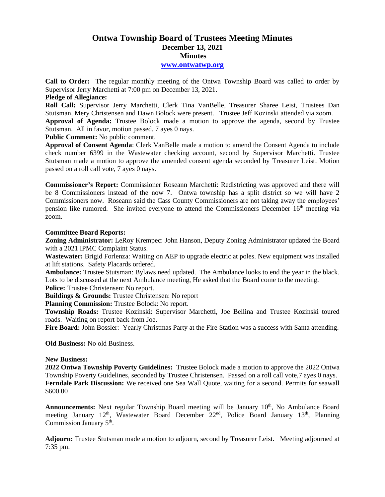# **Ontwa Township Board of Trustees Meeting Minutes December 13, 2021 Minutes**

#### **[www.ontwatwp.org](http://www.ontwatwp.org/)**

**Call to Order:** The regular monthly meeting of the Ontwa Township Board was called to order by Supervisor Jerry Marchetti at 7:00 pm on December 13, 2021.

## **Pledge of Allegiance:**

**Roll Call:** Supervisor Jerry Marchetti, Clerk Tina VanBelle, Treasurer Sharee Leist, Trustees Dan Stutsman, Mery Christensen and Dawn Bolock were present. Trustee Jeff Kozinski attended via zoom. **Approval of Agenda:** Trustee Bolock made a motion to approve the agenda, second by Trustee Stutsman. All in favor, motion passed. 7 ayes 0 nays.

**Public Comment:** No public comment.

**Approval of Consent Agenda**: Clerk VanBelle made a motion to amend the Consent Agenda to include check number 6399 in the Wastewater checking account, second by Supervisor Marchetti. Trustee Stutsman made a motion to approve the amended consent agenda seconded by Treasurer Leist. Motion passed on a roll call vote, 7 ayes 0 nays.

**Commissioner's Report:** Commissioner Roseann Marchetti: Redistricting was approved and there will be 8 Commissioners instead of the now 7. Ontwa township has a split district so we will have 2 Commissioners now. Roseann said the Cass County Commissioners are not taking away the employees' pension like rumored. She invited everyone to attend the Commissioners December 16<sup>th</sup> meeting via zoom.

## **Committee Board Reports:**

**Zoning Administrator:** LeRoy Krempec: John Hanson, Deputy Zoning Administrator updated the Board with a 2021 IPMC Complaint Status.

**Wastewater:** Brigid Forlenza: Waiting on AEP to upgrade electric at poles. New equipment was installed at lift stations. Safety Placards ordered.

**Ambulance:** Trustee Stutsman: Bylaws need updated. The Ambulance looks to end the year in the black. Lots to be discussed at the next Ambulance meeting, He asked that the Board come to the meeting.

**Police:** Trustee Christensen: No report.

**Buildings & Grounds:** Trustee Christensen: No report

**Planning Commission:** Trustee Bolock: No report.

**Township Roads:** Trustee Kozinski: Supervisor Marchetti, Joe Bellina and Trustee Kozinski toured roads. Waiting on report back from Joe.

**Fire Board:** John Bossler: Yearly Christmas Party at the Fire Station was a success with Santa attending.

**Old Business:** No old Business.

#### **New Business:**

**2022 Ontwa Township Poverty Guidelines:** Trustee Bolock made a motion to approve the 2022 Ontwa Township Poverty Guidelines, seconded by Trustee Christensen. Passed on a roll call vote,7 ayes 0 nays. **Ferndale Park Discussion:** We received one Sea Wall Quote, waiting for a second. Permits for seawall \$600.00

Announcements: Next regular Township Board meeting will be January 10<sup>th</sup>, No Ambulance Board meeting January 12<sup>th</sup>, Wastewater Board December 22<sup>nd</sup>, Police Board January 13<sup>th</sup>, Planning Commission January 5<sup>th</sup>.

**Adjourn:** Trustee Stutsman made a motion to adjourn, second by Treasurer Leist. Meeting adjourned at 7:35 pm.